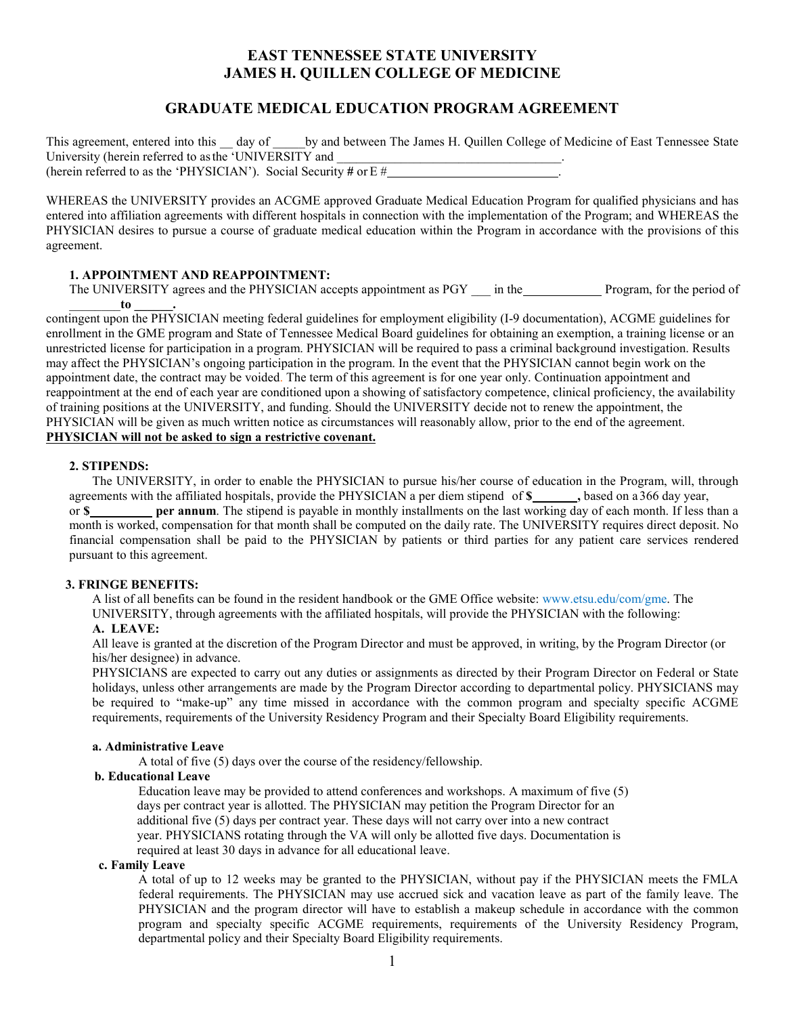# **EAST TENNESSEE STATE UNIVERSITY JAMES H. QUILLEN COLLEGE OF MEDICINE**

# **GRADUATE MEDICAL EDUCATION PROGRAM AGREEMENT**

This agreement, entered into this day of University (herein referred to as the 'UNIVERSITY and \_\_\_\_\_\_\_\_\_\_\_\_\_\_\_\_\_\_\_\_\_\_\_\_\_\_\_ (herein referred to as the 'PHYSICIAN'). Social Security **#** or E # . by and between The James H. Quillen College of Medicine of East Tennessee State

WHEREAS the UNIVERSITY provides an ACGME approved Graduate Medical Education Program for qualified physicians and has entered into affiliation agreements with different hospitals in connection with the implementation of the Program; and WHEREAS the PHYSICIAN desires to pursue a course of graduate medical education within the Program in accordance with the provisions of this agreement.

# **1. APPOINTMENT AND REAPPOINTMENT:**

The UNIVERSITY agrees and the PHYSICIAN accepts appointment as PGY \_\_\_ in the Program, for the period of

 appointment date, the contract may be voided. The term of this agreement is for one year only. Continuation appointment and of training positions at the UNIVERSITY, and funding. Should the UNIVERSITY decide not to renew the appointment, the PHYSICIAN will be given as much written notice as circumstances will reasonably allow, prior to the end of the agreement. \_\_\_\_\_\_\_\_**to \_\_\_\_\_\_.** contingent upon the PHYSICIAN meeting federal guidelines for employment eligibility (I-9 documentation), ACGME guidelines for enrollment in the GME program and State of Tennessee Medical Board guidelines for obtaining an exemption, a training license or an unrestricted license for participation in a program. PHYSICIAN will be required to pass a criminal background investigation. Results may affect the PHYSICIAN's ongoing participation in the program. In the event that the PHYSICIAN cannot begin work on the reappointment at the end of each year are conditioned upon a showing of satisfactory competence, clinical proficiency, the availability **PHYSICIAN will not be asked to sign a restrictive covenant.** 

# **2. STIPENDS:**

 The UNIVERSITY, in order to enable the PHYSICIAN to pursue his/her course of education in the Program, will, through  pursuant to this agreement. agreements with the affiliated hospitals, provide the PHYSICIAN a per diem stipend of \$\_\_\_\_\_\_, based on a 366 day year, or **\$ per annum**. The stipend is payable in monthly installments on the last working day of each month. If less than a month is worked, compensation for that month shall be computed on the daily rate. The UNIVERSITY requires direct deposit. No financial compensation shall be paid to the PHYSICIAN by patients or third parties for any patient care services rendered

#### **3. FRINGE BENEFITS:**

A list of all benefits can be found in the resident handbook or the GME Office website: [www.etsu.edu/com/gme.](http://www.etsu.edu/com/gme) The UNIVERSITY, through agreements with the affiliated hospitals, will provide the PHYSICIAN with the following:

## **A. LEAVE:**

All leave is granted at the discretion of the Program Director and must be approved, in writing, by the Program Director (or his/her designee) in advance.

 holidays, unless other arrangements are made by the Program Director according to departmental policy. PHYSICIANS may PHYSICIANS are expected to carry out any duties or assignments as directed by their Program Director on Federal or State be required to "make-up" any time missed in accordance with the common program and specialty specific ACGME requirements, requirements of the University Residency Program and their Specialty Board Eligibility requirements.

#### **a. Administrative Leave**

A total of five (5) days over the course of the residency/fellowship.

#### **b. Educational Leave**

 Education leave may be provided to attend conferences and workshops. A maximum of five (5) days per contract year is allotted. The PHYSICIAN may petition the Program Director for an additional five (5) days per contract year. These days will not carry over into a new contract year. PHYSICIANS rotating through the VA will only be allotted five days. Documentation is required at least 30 days in advance for all educational leave.

#### **c. Family Leave**

 federal requirements. The PHYSICIAN may use accrued sick and vacation leave as part of the family leave. The PHYSICIAN and the program director will have to establish a makeup schedule in accordance with the common program and specialty specific ACGME requirements, requirements of the University Residency Program, A total of up to 12 weeks may be granted to the PHYSICIAN, without pay if the PHYSICIAN meets the FMLA departmental policy and their Specialty Board Eligibility requirements.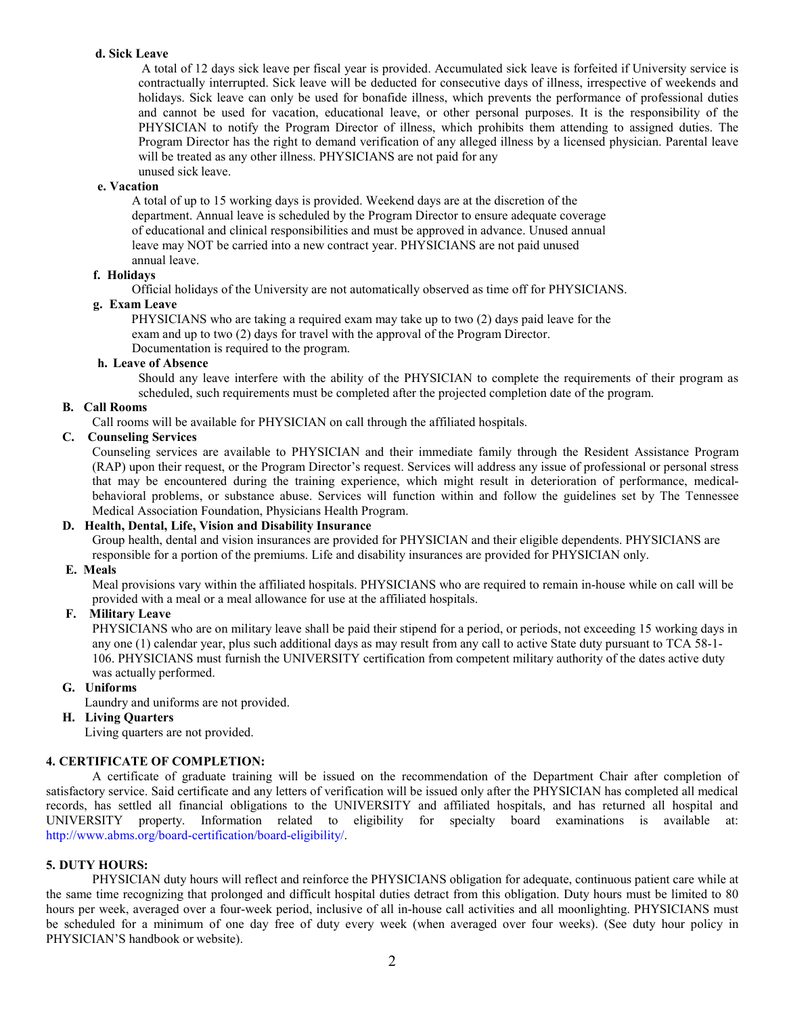# **d. Sick Leave**

 A total of 12 days sick leave per fiscal year is provided. Accumulated sick leave is forfeited if University service is will be treated as any other illness. PHYSICIANS are not paid for any unused sick leave. contractually interrupted. Sick leave will be deducted for consecutive days of illness, irrespective of weekends and holidays. Sick leave can only be used for bonafide illness, which prevents the performance of professional duties and cannot be used for vacation, educational leave, or other personal purposes. It is the responsibility of the PHYSICIAN to notify the Program Director of illness, which prohibits them attending to assigned duties. The Program Director has the right to demand verification of any alleged illness by a licensed physician. Parental leave

#### **e. Vacation**

A total of up to 15 working days is provided. Weekend days are at the discretion of the department. Annual leave is scheduled by the Program Director to ensure adequate coverage of educational and clinical responsibilities and must be approved in advance. Unused annual leave may NOT be carried into a new contract year. PHYSICIANS are not paid unused annual leave.

## **f. Holidays**

Official holidays of the University are not automatically observed as time off for PHYSICIANS.

## **g. Exam Leave**

 PHYSICIANS who are taking a required exam may take up to two (2) days paid leave for the exam and up to two (2) days for travel with the approval of the Program Director.

Documentation is required to the program.

# **h. Leave of Absence**

 Should any leave interfere with the ability of the PHYSICIAN to complete the requirements of their program as scheduled, such requirements must be completed after the projected completion date of the program.

## **B. Call Rooms**

Call rooms will be available for PHYSICIAN on call through the affiliated hospitals.

# **C. Counseling Services**

 that may be encountered during the training experience, which might result in deterioration of performance, medical- behavioral problems, or substance abuse. Services will function within and follow the guidelines set by The Tennessee Medical Association Foundation, Physicians Health Program. Counseling services are available to PHYSICIAN and their immediate family through the Resident Assistance Program (RAP) upon their request, or the Program Director's request. Services will address any issue of professional or personal stress

# **D. Health, Dental, Life, Vision and Disability Insurance**

Group health, dental and vision insurances are provided for PHYSICIAN and their eligible dependents. PHYSICIANS are responsible for a portion of the premiums. Life and disability insurances are provided for PHYSICIAN only.

### **E. Meals**

 Meal provisions vary within the affiliated hospitals. PHYSICIANS who are required to remain in-house while on call will be provided with a meal or a meal allowance for use at the affiliated hospitals.

# **F. Military Leave**

 PHYSICIANS who are on military leave shall be paid their stipend for a period, or periods, not exceeding 15 working days in any one (1) calendar year, plus such additional days as may result from any call to active State duty pursuant to TCA 58-1- was actually performed. 106. PHYSICIANS must furnish the UNIVERSITY certification from competent military authority of the dates active duty

## **G. Uniforms**

Laundry and uniforms are not provided.

# **H. Living Quarters**

Living quarters are not provided.

# **4. CERTIFICATE OF COMPLETION:**

 satisfactory service. Said certificate and any letters of verification will be issued only after the PHYSICIAN has completed all medical A certificate of graduate training will be issued on the recommendation of the Department Chair after completion of records, has settled all financial obligations to the UNIVERSITY and affiliated hospitals, and has returned all hospital and UNIVERSITY property. Information related to eligibility for specialty board examinations is available at: [http://www.abms.org/board-certification/board-eligibility/.](http://www.abms.org/board-certification/board-eligibility/) 

#### **5. DUTY HOURS:**

 hours per week, averaged over a four-week period, inclusive of all in-house call activities and all moonlighting. PHYSICIANS must be scheduled for a minimum of one day free of duty every week (when averaged over four weeks). (See duty hour policy in PHYSICIAN'S handbook or website). PHYSICIAN duty hours will reflect and reinforce the PHYSICIANS obligation for adequate, continuous patient care while at the same time recognizing that prolonged and difficult hospital duties detract from this obligation. Duty hours must be limited to 80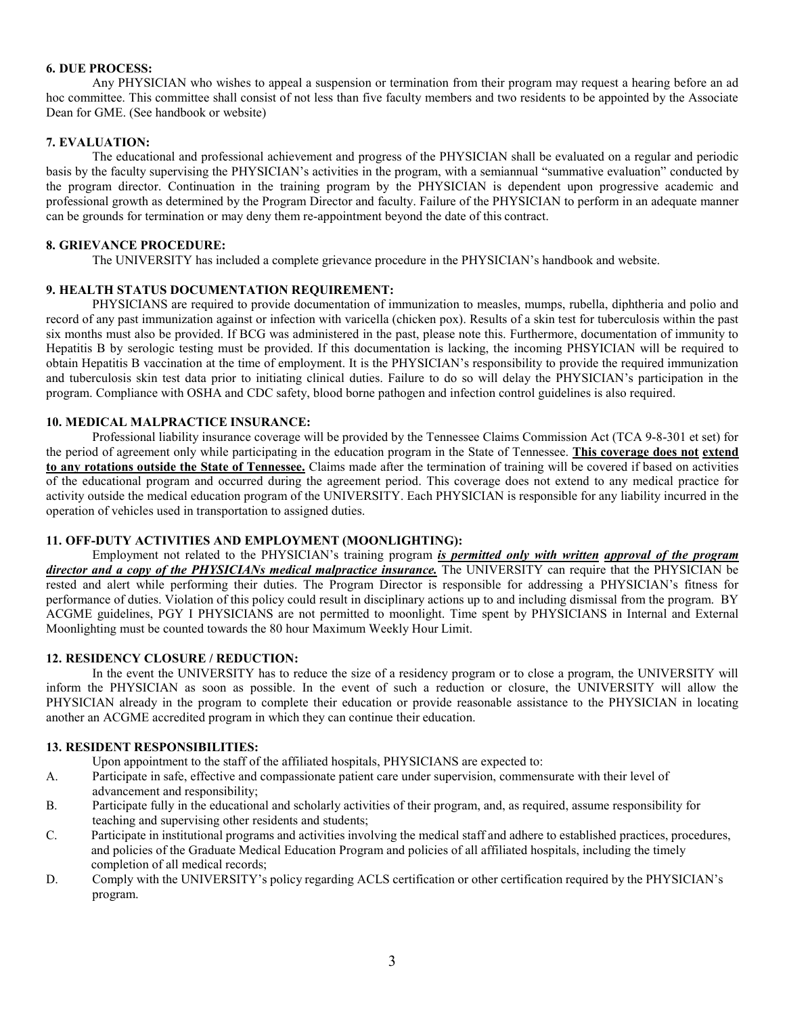## **6. DUE PROCESS:**

 Any PHYSICIAN who wishes to appeal a suspension or termination from their program may request a hearing before an ad hoc committee. This committee shall consist of not less than five faculty members and two residents to be appointed by the Associate Dean for GME. (See handbook or website)

## **7. EVALUATION:**

 basis by the faculty supervising the PHYSICIAN's activities in the program, with a semiannual "summative evaluation" conducted by can be grounds for termination or may deny them re-appointment beyond the date of this contract. The educational and professional achievement and progress of the PHYSICIAN shall be evaluated on a regular and periodic the program director. Continuation in the training program by the PHYSICIAN is dependent upon progressive academic and professional growth as determined by the Program Director and faculty. Failure of the PHYSICIAN to perform in an adequate manner

### **8. GRIEVANCE PROCEDURE:**

The UNIVERSITY has included a complete grievance procedure in the PHYSICIAN's handbook and website.

# **9. HEALTH STATUS DOCUMENTATION REQUIREMENT:**

 six months must also be provided. If BCG was administered in the past, please note this. Furthermore, documentation of immunity to and tuberculosis skin test data prior to initiating clinical duties. Failure to do so will delay the PHYSICIAN's participation in the program. Compliance with OSHA and CDC safety, blood borne pathogen and infection control guidelines is also required. PHYSICIANS are required to provide documentation of immunization to measles, mumps, rubella, diphtheria and polio and record of any past immunization against or infection with varicella (chicken pox). Results of a skin test for tuberculosis within the past Hepatitis B by serologic testing must be provided. If this documentation is lacking, the incoming PHSYICIAN will be required to obtain Hepatitis B vaccination at the time of employment. It is the PHYSICIAN's responsibility to provide the required immunization

## **10. MEDICAL MALPRACTICE INSURANCE:**

 of the educational program and occurred during the agreement period. This coverage does not extend to any medical practice for operation of vehicles used in transportation to assigned duties. Professional liability insurance coverage will be provided by the Tennessee Claims Commission Act (TCA 9-8-301 et set) for the period of agreement only while participating in the education program in the State of Tennessee. **This coverage does not extend to any rotations outside the State of Tennessee.** Claims made after the termination of training will be covered if based on activities activity outside the medical education program of the UNIVERSITY. Each PHYSICIAN is responsible for any liability incurred in the

# **11. OFF-DUTY ACTIVITIES AND EMPLOYMENT (MOONLIGHTING):**

Employment not related to the PHYSICIAN's training program *is permitted only with written approval of the program*  rested and alert while performing their duties. The Program Director is responsible for addressing a PHYSICIAN's fitness for ACGME guidelines, PGY I PHYSICIANS are not permitted to moonlight. Time spent by PHYSICIANS in Internal and External Moonlighting must be counted towards the 80 hour Maximum Weekly Hour Limit. *director and a copy of the PHYSICIANs medical malpractice insurance.* The UNIVERSITY can require that the PHYSICIAN be performance of duties. Violation of this policy could result in disciplinary actions up to and including dismissal from the program. BY

# **12. RESIDENCY CLOSURE / REDUCTION:**

 In the event the UNIVERSITY has to reduce the size of a residency program or to close a program, the UNIVERSITY will another an ACGME accredited program in which they can continue their education. inform the PHYSICIAN as soon as possible. In the event of such a reduction or closure, the UNIVERSITY will allow the PHYSICIAN already in the program to complete their education or provide reasonable assistance to the PHYSICIAN in locating

#### **13. RESIDENT RESPONSIBILITIES:**

Upon appointment to the staff of the affiliated hospitals, PHYSICIANS are expected to:

- A. Participate in safe, effective and compassionate patient care under supervision, commensurate with their level of advancement and responsibility;
- B. Participate fully in the educational and scholarly activities of their program, and, as required, assume responsibility for teaching and supervising other residents and students;
- C. Participate in institutional programs and activities involving the medical staff and adhere to established practices, procedures, completion of all medical records; and policies of the Graduate Medical Education Program and policies of all affiliated hospitals, including the timely
- D. Comply with the UNIVERSITY's policy regarding ACLS certification or other certification required by the PHYSICIAN's program.